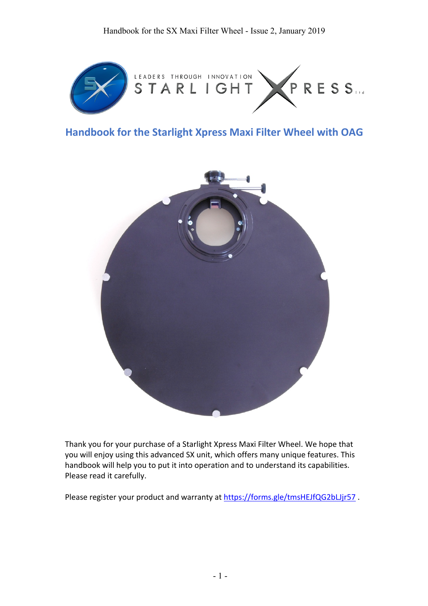

# **Handbook for the Starlight Xpress Maxi Filter Wheel with OAG**



Thank you for your purchase of a Starlight Xpress Maxi Filter Wheel. We hope that you will enjoy using this advanced SX unit, which offers many unique features. This handbook will help you to put it into operation and to understand its capabilities. Please read it carefully.

Please register your product and warranty at https://forms.gle/tmsHEJfQG2bLJjr57.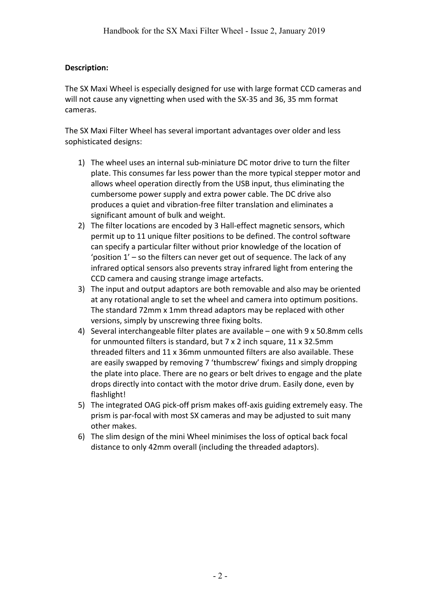# **Description:**

The SX Maxi Wheel is especially designed for use with large format CCD cameras and will not cause any vignetting when used with the SX-35 and 36, 35 mm format cameras.

The SX Maxi Filter Wheel has several important advantages over older and less sophisticated designs:

- 1) The wheel uses an internal sub-miniature DC motor drive to turn the filter plate. This consumes far less power than the more typical stepper motor and allows wheel operation directly from the USB input, thus eliminating the cumbersome power supply and extra power cable. The DC drive also produces a quiet and vibration-free filter translation and eliminates a significant amount of bulk and weight.
- 2) The filter locations are encoded by 3 Hall-effect magnetic sensors, which permit up to 11 unique filter positions to be defined. The control software can specify a particular filter without prior knowledge of the location of 'position 1' – so the filters can never get out of sequence. The lack of any infrared optical sensors also prevents stray infrared light from entering the CCD camera and causing strange image artefacts.
- 3) The input and output adaptors are both removable and also may be oriented at any rotational angle to set the wheel and camera into optimum positions. The standard 72mm x 1mm thread adaptors may be replaced with other versions, simply by unscrewing three fixing bolts.
- 4) Several interchangeable filter plates are available one with 9 x 50.8mm cells for unmounted filters is standard, but 7 x 2 inch square, 11 x 32.5mm threaded filters and 11 x 36mm unmounted filters are also available. These are easily swapped by removing 7 'thumbscrew' fixings and simply dropping the plate into place. There are no gears or belt drives to engage and the plate drops directly into contact with the motor drive drum. Easily done, even by flashlight!
- 5) The integrated OAG pick-off prism makes off-axis guiding extremely easy. The prism is par-focal with most SX cameras and may be adjusted to suit many other makes.
- 6) The slim design of the mini Wheel minimises the loss of optical back focal distance to only 42mm overall (including the threaded adaptors).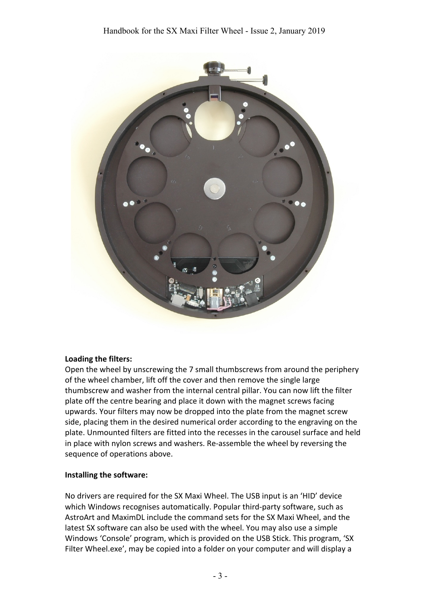

#### **Loading the filters:**

Open the wheel by unscrewing the 7 small thumbscrews from around the periphery of the wheel chamber, lift off the cover and then remove the single large thumbscrew and washer from the internal central pillar. You can now lift the filter plate off the centre bearing and place it down with the magnet screws facing upwards. Your filters may now be dropped into the plate from the magnet screw side, placing them in the desired numerical order according to the engraving on the plate. Unmounted filters are fitted into the recesses in the carousel surface and held in place with nylon screws and washers. Re-assemble the wheel by reversing the sequence of operations above.

#### **Installing the software:**

No drivers are required for the SX Maxi Wheel. The USB input is an 'HID' device which Windows recognises automatically. Popular third-party software, such as AstroArt and MaximDL include the command sets for the SX Maxi Wheel, and the latest SX software can also be used with the wheel. You may also use a simple Windows 'Console' program, which is provided on the USB Stick. This program, 'SX Filter Wheel.exe', may be copied into a folder on your computer and will display a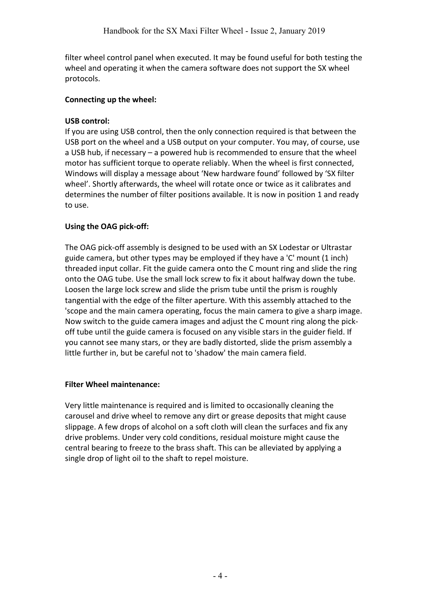filter wheel control panel when executed. It may be found useful for both testing the wheel and operating it when the camera software does not support the SX wheel protocols.

# **Connecting up the wheel:**

# **USB control:**

If you are using USB control, then the only connection required is that between the USB port on the wheel and a USB output on your computer. You may, of course, use a USB hub, if necessary – a powered hub is recommended to ensure that the wheel motor has sufficient torque to operate reliably. When the wheel is first connected, Windows will display a message about 'New hardware found' followed by 'SX filter wheel'. Shortly afterwards, the wheel will rotate once or twice as it calibrates and determines the number of filter positions available. It is now in position 1 and ready to use.

# **Using the OAG pick-off:**

The OAG pick-off assembly is designed to be used with an SX Lodestar or Ultrastar guide camera, but other types may be employed if they have a 'C' mount (1 inch) threaded input collar. Fit the guide camera onto the C mount ring and slide the ring onto the OAG tube. Use the small lock screw to fix it about halfway down the tube. Loosen the large lock screw and slide the prism tube until the prism is roughly tangential with the edge of the filter aperture. With this assembly attached to the 'scope and the main camera operating, focus the main camera to give a sharp image. Now switch to the guide camera images and adjust the C mount ring along the pickoff tube until the guide camera is focused on any visible stars in the guider field. If you cannot see many stars, or they are badly distorted, slide the prism assembly a little further in, but be careful not to 'shadow' the main camera field.

# **Filter Wheel maintenance:**

Very little maintenance is required and is limited to occasionally cleaning the carousel and drive wheel to remove any dirt or grease deposits that might cause slippage. A few drops of alcohol on a soft cloth will clean the surfaces and fix any drive problems. Under very cold conditions, residual moisture might cause the central bearing to freeze to the brass shaft. This can be alleviated by applying a single drop of light oil to the shaft to repel moisture.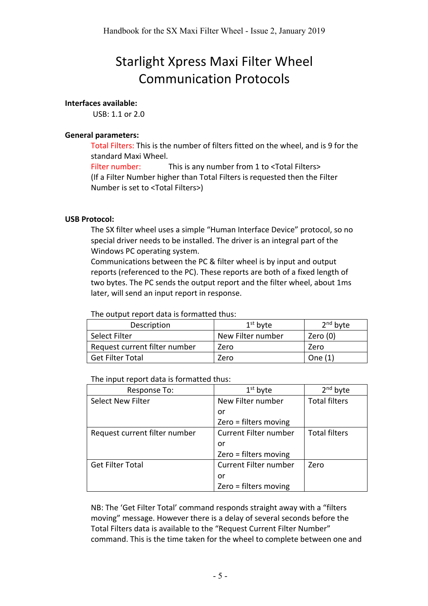# Starlight Xpress Maxi Filter Wheel Communication Protocols

# **Interfaces available:**

USB: 1.1 or 2.0

# **General parameters:**

Total Filters: This is the number of filters fitted on the wheel, and is 9 for the standard Maxi Wheel.

Filter number: This is any number from 1 to <Total Filters> (If a Filter Number higher than Total Filters is requested then the Filter Number is set to <Total Filters>)

#### **USB Protocol:**

The SX filter wheel uses a simple "Human Interface Device" protocol, so no special driver needs to be installed. The driver is an integral part of the Windows PC operating system.

Communications between the PC & filter wheel is by input and output reports (referenced to the PC). These reports are both of a fixed length of two bytes. The PC sends the output report and the filter wheel, about 1ms later, will send an input report in response.

The output report data is formatted thus:

| Description                   | $1st$ byte        | $2nd$ byte |
|-------------------------------|-------------------|------------|
| Select Filter                 | New Filter number | Zero $(0)$ |
| Request current filter number | Zero              | Zero       |
| <b>Get Filter Total</b>       | Zero              | One $(1)$  |

The input report data is formatted thus:

| Response To:                  | $1st$ byte                   | $2nd$ byte           |
|-------------------------------|------------------------------|----------------------|
| <b>Select New Filter</b>      | New Filter number            | <b>Total filters</b> |
|                               | or                           |                      |
|                               | Zero = filters moving        |                      |
| Request current filter number | <b>Current Filter number</b> | <b>Total filters</b> |
|                               | or                           |                      |
|                               | Zero = filters moving        |                      |
| <b>Get Filter Total</b>       | Current Filter number        | Zero                 |
|                               | or                           |                      |
|                               | Zero = filters moving        |                      |

NB: The 'Get Filter Total' command responds straight away with a "filters moving" message. However there is a delay of several seconds before the Total Filters data is available to the "Request Current Filter Number" command. This is the time taken for the wheel to complete between one and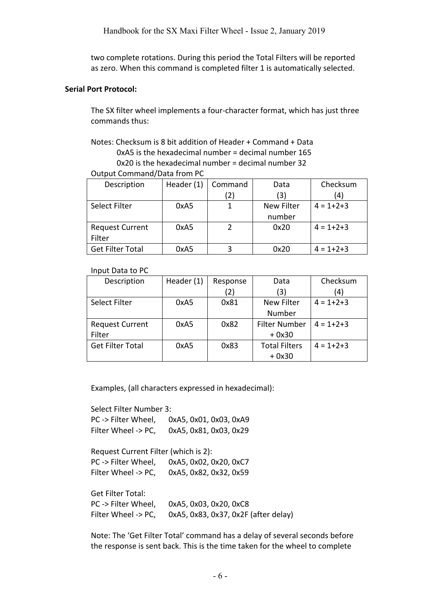two complete rotations. During this period the Total Filters will be reported as zero. When this command is completed filter 1 is automatically selected.

#### **Serial Port Protocol:**

The SX filter wheel implements a four-character format, which has just three commands thus:

Notes: Checksum is 8 bit addition of Header + Command + Data 0xA5 is the hexadecimal number = decimal number 165 0x20 is the hexadecimal number = decimal number 32

#### Output Command/Data from PC

| Description             | Header (1) | Command | Data              | Checksum        |
|-------------------------|------------|---------|-------------------|-----------------|
|                         |            | 2)      | (3)               | (4)             |
| Select Filter           | 0xA5       |         | <b>New Filter</b> | $4 = 1 + 2 + 3$ |
|                         |            |         | number            |                 |
| <b>Request Current</b>  | 0xA5       |         | 0x20              | $4 = 1 + 2 + 3$ |
| Filter                  |            |         |                   |                 |
| <b>Get Filter Total</b> | 0xA5       |         | 0x20              | $4 = 1 + 2 + 3$ |

#### Input Data to PC

| Description             | Header (1) | Response | Data                 | Checksum        |
|-------------------------|------------|----------|----------------------|-----------------|
|                         |            | (2)      | (3)                  | (4)             |
| Select Filter           | 0xA5       | 0x81     | <b>New Filter</b>    | $4 = 1 + 2 + 3$ |
|                         |            |          | Number               |                 |
| <b>Request Current</b>  | 0xA5       | 0x82     | <b>Filter Number</b> | $4 = 1 + 2 + 3$ |
| Filter                  |            |          | $+0x30$              |                 |
| <b>Get Filter Total</b> | 0xA5       | 0x83     | <b>Total Filters</b> | $4 = 1 + 2 + 3$ |
|                         |            |          | $+0x30$              |                 |

Examples, (all characters expressed in hexadecimal):

Select Filter Number 3:

PC -> Filter Wheel, 0xA5, 0x01, 0x03, 0xA9 Filter Wheel -> PC, 0xA5, 0x81, 0x03, 0x29

Request Current Filter (which is 2): PC -> Filter Wheel, 0xA5, 0x02, 0x20, 0xC7 Filter Wheel -> PC, 0xA5, 0x82, 0x32, 0x59

Get Filter Total:

PC -> Filter Wheel, 0xA5, 0x03, 0x20, 0xC8 Filter Wheel -> PC, 0xA5, 0x83, 0x37, 0x2F (after delay)

Note: The 'Get Filter Total' command has a delay of several seconds before the response is sent back. This is the time taken for the wheel to complete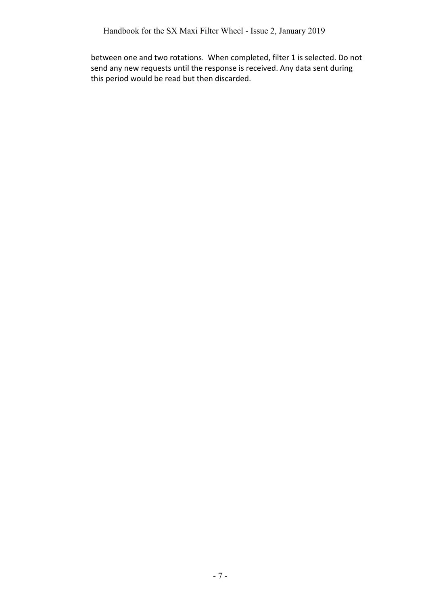between one and two rotations. When completed, filter 1 is selected. Do not send any new requests until the response is received. Any data sent during this period would be read but then discarded.